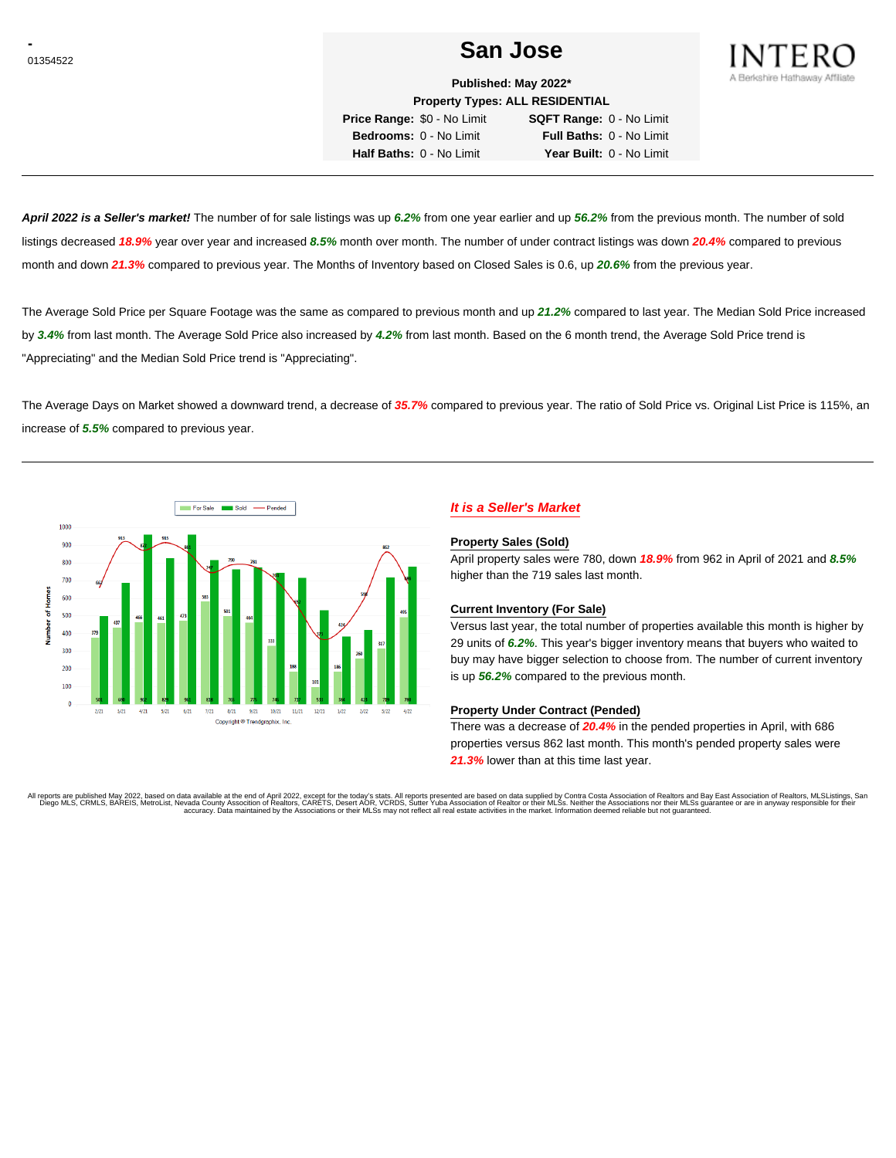# **CONSTRUCTER SAN JOSE** SAN JOSE



**Published: May 2022\* Property Types: ALL RESIDENTIAL**

**Price Range:** \$0 - No Limit **SQFT Range:** 0 - No Limit **Bedrooms:** 0 - No Limit **Full Baths:** 0 - No Limit **Half Baths:** 0 - No Limit **Year Built:** 0 - No Limit

**April 2022 is a Seller's market!** The number of for sale listings was up **6.2%** from one year earlier and up **56.2%** from the previous month. The number of sold listings decreased **18.9%** year over year and increased **8.5%** month over month. The number of under contract listings was down **20.4%** compared to previous month and down **21.3%** compared to previous year. The Months of Inventory based on Closed Sales is 0.6, up **20.6%** from the previous year.

The Average Sold Price per Square Footage was the same as compared to previous month and up **21.2%** compared to last year. The Median Sold Price increased by **3.4%** from last month. The Average Sold Price also increased by **4.2%** from last month. Based on the 6 month trend, the Average Sold Price trend is "Appreciating" and the Median Sold Price trend is "Appreciating".

The Average Days on Market showed a downward trend, a decrease of **35.7%** compared to previous year. The ratio of Sold Price vs. Original List Price is 115%, an increase of **5.5%** compared to previous year.



# **It is a Seller's Market**

#### **Property Sales (Sold)**

April property sales were 780, down **18.9%** from 962 in April of 2021 and **8.5%** higher than the 719 sales last month.

## **Current Inventory (For Sale)**

Versus last year, the total number of properties available this month is higher by 29 units of **6.2%**. This year's bigger inventory means that buyers who waited to buy may have bigger selection to choose from. The number of current inventory is up **56.2%** compared to the previous month.

### **Property Under Contract (Pended)**

There was a decrease of **20.4%** in the pended properties in April, with 686 properties versus 862 last month. This month's pended property sales were **21.3%** lower than at this time last year.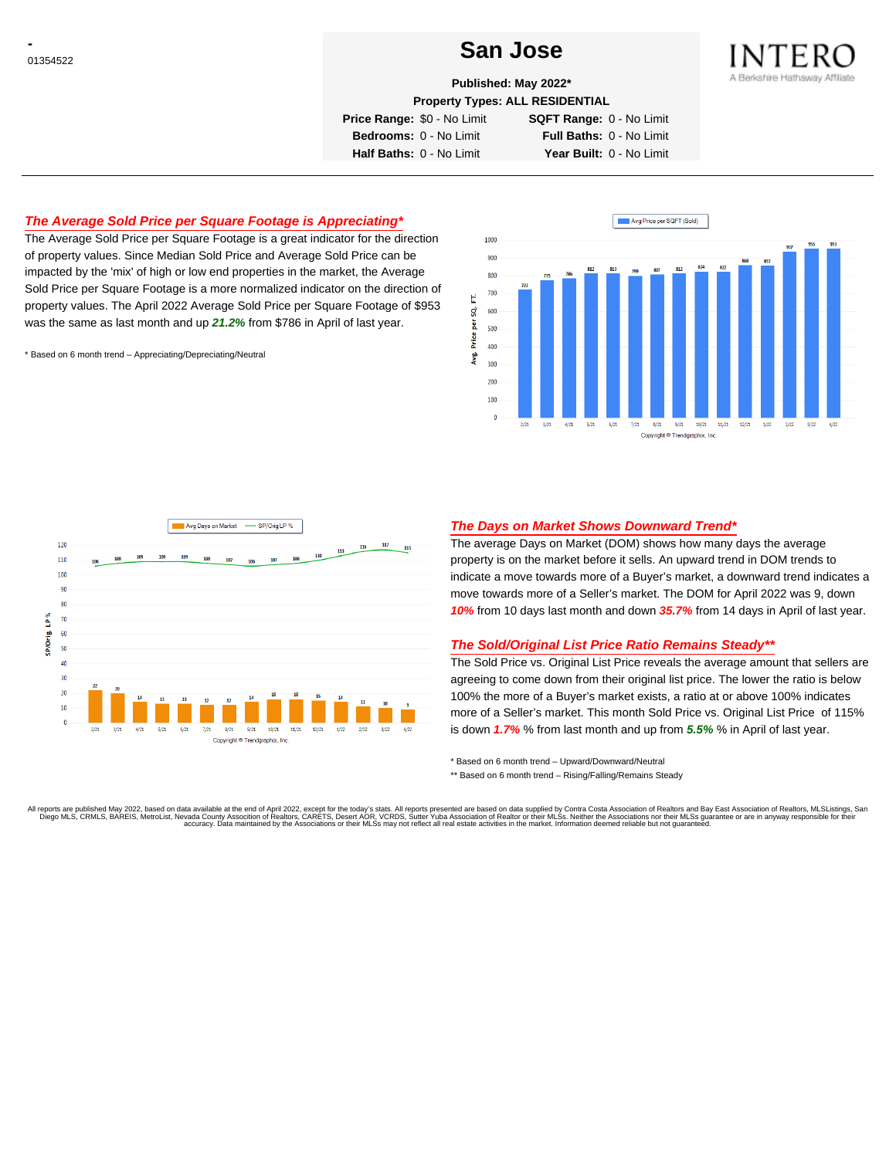# **CONSTRUCTER SAN JOSE**



**Published: May 2022\***

**Property Types: ALL RESIDENTIAL**

**Price Range:** \$0 - No Limit **SQFT Range:** 0 - No Limit

**Bedrooms:** 0 - No Limit **Full Baths:** 0 - No Limit **Half Baths:** 0 - No Limit **Year Built:** 0 - No Limit

## **The Average Sold Price per Square Footage is Appreciating\***

The Average Sold Price per Square Footage is a great indicator for the direction of property values. Since Median Sold Price and Average Sold Price can be impacted by the 'mix' of high or low end properties in the market, the Average Sold Price per Square Footage is a more normalized indicator on the direction of property values. The April 2022 Average Sold Price per Square Footage of \$953 was the same as last month and up **21.2%** from \$786 in April of last year.

\* Based on 6 month trend – Appreciating/Depreciating/Neutral





## **The Days on Market Shows Downward Trend\***

The average Days on Market (DOM) shows how many days the average property is on the market before it sells. An upward trend in DOM trends to indicate a move towards more of a Buyer's market, a downward trend indicates a move towards more of a Seller's market. The DOM for April 2022 was 9, down **10%** from 10 days last month and down **35.7%** from 14 days in April of last year.

#### **The Sold/Original List Price Ratio Remains Steady\*\***

The Sold Price vs. Original List Price reveals the average amount that sellers are agreeing to come down from their original list price. The lower the ratio is below 100% the more of a Buyer's market exists, a ratio at or above 100% indicates more of a Seller's market. This month Sold Price vs. Original List Price of 115% is down **1.7%** % from last month and up from **5.5%** % in April of last year.

\* Based on 6 month trend – Upward/Downward/Neutral

\*\* Based on 6 month trend - Rising/Falling/Remains Steady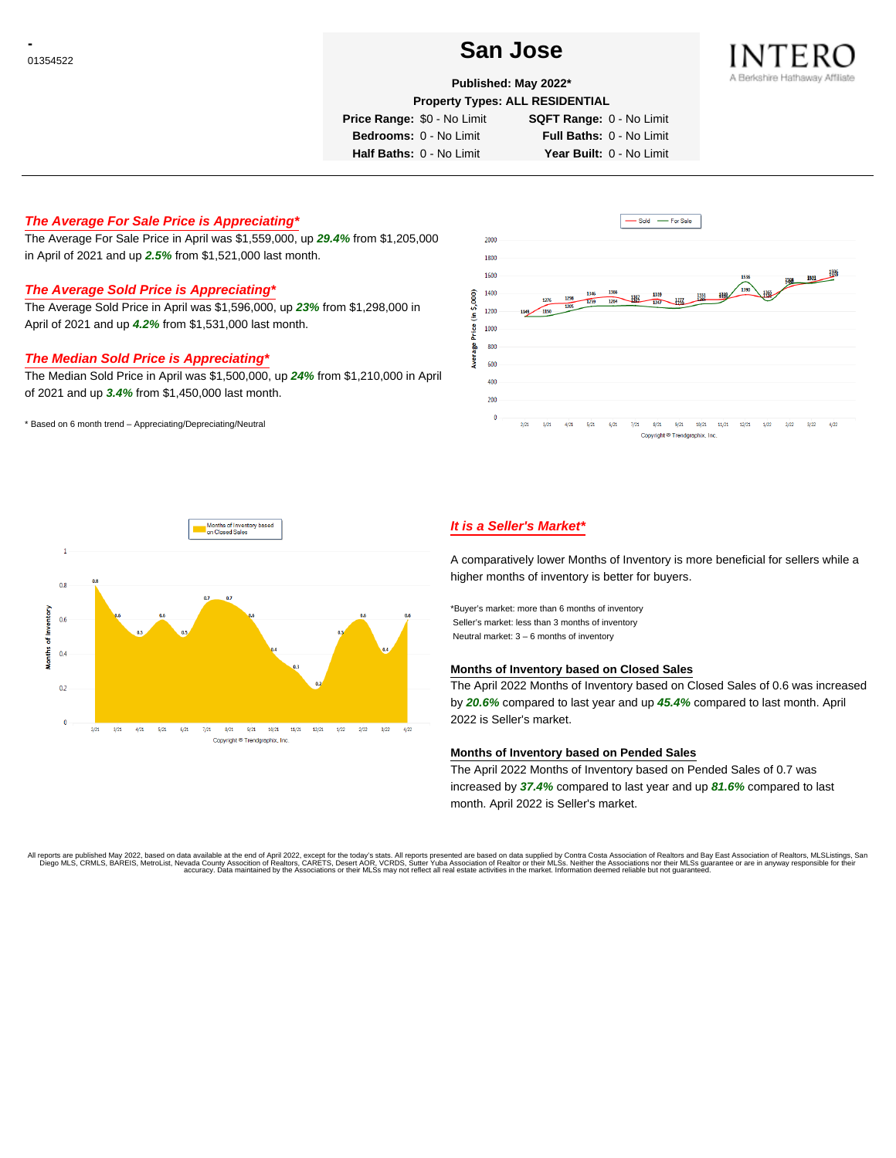# **CONSTRUCTER SAN JOSE**



#### **Published: May 2022\***

**Property Types: ALL RESIDENTIAL**

**Price Range:** \$0 - No Limit **SQFT Range:** 0 - No Limit

**Bedrooms:** 0 - No Limit **Full Baths:** 0 - No Limit **Half Baths:** 0 - No Limit **Year Built:** 0 - No Limit

# **The Average For Sale Price is Appreciating\***

The Average For Sale Price in April was \$1,559,000, up **29.4%** from \$1,205,000 in April of 2021 and up **2.5%** from \$1,521,000 last month.

# **The Average Sold Price is Appreciating\***

The Average Sold Price in April was \$1,596,000, up **23%** from \$1,298,000 in April of 2021 and up **4.2%** from \$1,531,000 last month.

## **The Median Sold Price is Appreciating\***

The Median Sold Price in April was \$1,500,000, up **24%** from \$1,210,000 in April of 2021 and up **3.4%** from \$1,450,000 last month.

\* Based on 6 month trend – Appreciating/Depreciating/Neutral





# **It is a Seller's Market\***

A comparatively lower Months of Inventory is more beneficial for sellers while a higher months of inventory is better for buyers.

\*Buyer's market: more than 6 months of inventory Seller's market: less than 3 months of inventory Neutral market: 3 – 6 months of inventory

#### **Months of Inventory based on Closed Sales**

The April 2022 Months of Inventory based on Closed Sales of 0.6 was increased by **20.6%** compared to last year and up **45.4%** compared to last month. April 2022 is Seller's market.

#### **Months of Inventory based on Pended Sales**

The April 2022 Months of Inventory based on Pended Sales of 0.7 was increased by **37.4%** compared to last year and up **81.6%** compared to last month. April 2022 is Seller's market.